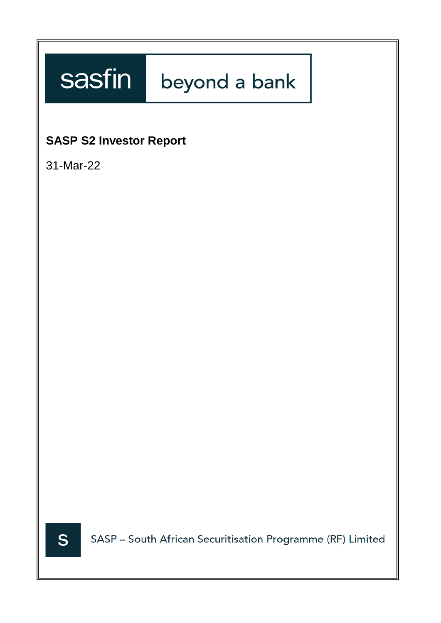# sasfin beyond a bank

## **SASP S2 Investor Report**

31-Mar-22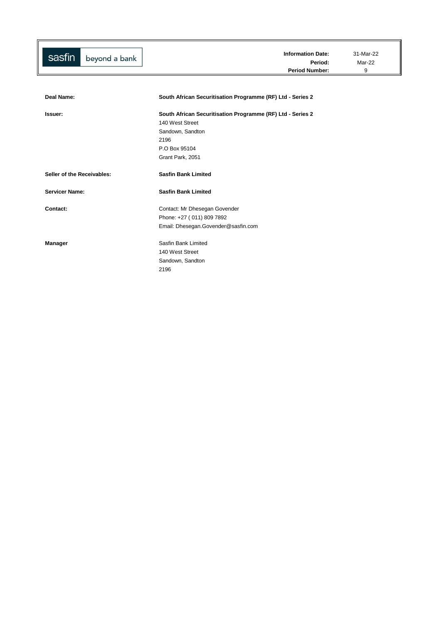| sasfin<br>beyond a bank    | <b>Information Date:</b><br>Period:                        | 31-Mar-22<br>Mar-22 |
|----------------------------|------------------------------------------------------------|---------------------|
|                            | <b>Period Number:</b>                                      | 9                   |
|                            |                                                            |                     |
|                            |                                                            |                     |
| Deal Name:                 | South African Securitisation Programme (RF) Ltd - Series 2 |                     |
| Issuer:                    | South African Securitisation Programme (RF) Ltd - Series 2 |                     |
|                            | 140 West Street                                            |                     |
|                            | Sandown, Sandton                                           |                     |
|                            | 2196                                                       |                     |
|                            | P.O Box 95104                                              |                     |
|                            | Grant Park, 2051                                           |                     |
| Seller of the Receivables: | <b>Sasfin Bank Limited</b>                                 |                     |
| <b>Servicer Name:</b>      | <b>Sasfin Bank Limited</b>                                 |                     |
| Contact:                   | Contact: Mr Dhesegan Govender                              |                     |
|                            | Phone: +27 (011) 809 7892                                  |                     |
|                            | Email: Dhesegan.Govender@sasfin.com                        |                     |
| Manager                    | Sasfin Bank Limited                                        |                     |
|                            | 140 West Street                                            |                     |
|                            | Sandown, Sandton                                           |                     |
|                            | 2196                                                       |                     |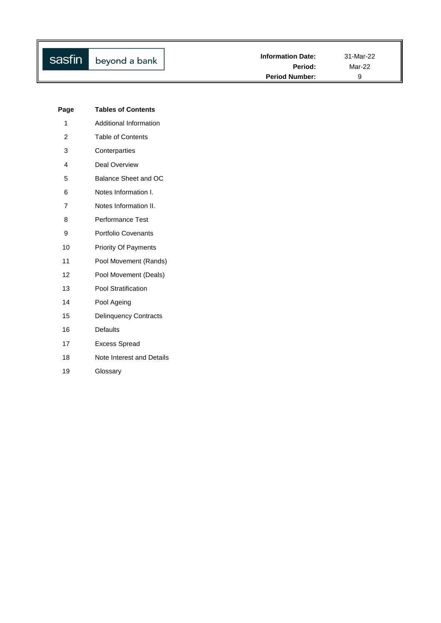| <b>Tables of Contents</b>    |
|------------------------------|
| Additional Information       |
| <b>Table of Contents</b>     |
| Conterparties                |
| Deal Overview                |
| Balance Sheet and OC         |
| Notes Information I.         |
| Notes Information II.        |
| Performance Test             |
| <b>Portfolio Covenants</b>   |
| <b>Priority Of Payments</b>  |
| Pool Movement (Rands)        |
| Pool Movement (Deals)        |
| Pool Stratification          |
| Pool Ageing                  |
| <b>Delinquency Contracts</b> |
| Defaults                     |
| <b>Excess Spread</b>         |
| Note Interest and Details    |
| Glossary                     |
|                              |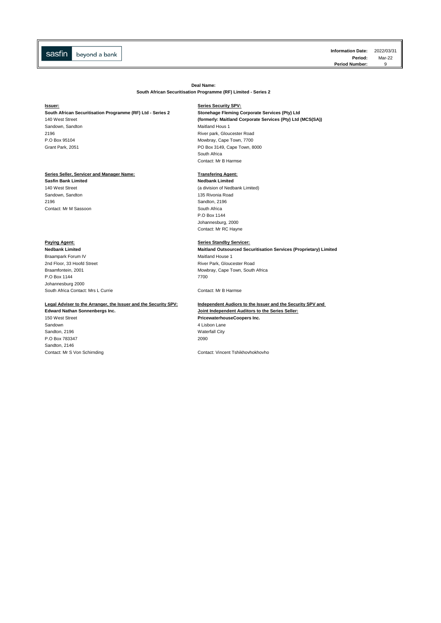**Information Date:** 2022/03/31 **Period:** Mar-22<br>**Number:** 9 **Period Number:** 

**Deal Name:**

**South African Securitisation Programme (RF) Limited - Series 2**

### **South African Securitisation Programme (RF) Ltd - Series 2 Stonehage Fleming Corporate Services (Pty) Ltd**

Sandown, Sandton Maitland Hous 1

### Series Seller, Servicer and Manager Name: **Transfering Agent:**

**Sasfin Bank Limited Nedbank Limited** Sandown, Sandton **135 Rivonia Road** 2196 Sandton, 2196 **Contact: Mr M Sassoon** South Africa

**Braampark Forum IV** Maitland House 1 2nd Floor, 33 Hoofd Street **River Park, Gloucester Road** P.O Box 1144 7700 Johannesburg 2000 [South Africa Contact: Mrs L Currie](mailto:treasury@sasfin.com) Contact: Mr B Harmse

### **Legal Adviser to the Arranger, the Issuer and the Security SPV: Independent Audiors to the Issuer and the Security SPV and**

Sandown 4 Lisbon Lane Sandton, 2196 Waterfall City P.O Box 783347 2090 Sandton, 2146

#### **Issuer: Series Security SPV:**

140 West Street **(formerly: Maitland Corporate Services (Pty) Ltd (MCS(SA))** 2196 River park, Gloucester Road P.O Box 95104 Mowbray, Cape Town, 7700 Grant Park, 2051 **PO Box 3149, Cape Town, 8000** South Africa Contact: Mr B Harmse

140 West Street (a division of Nedbank Limited)

P.O Box 1144 Johannesburg, 2000 Contact: Mr RC Hayne

#### **Paying Agent: Paying Agent: Series Standby Servicer:**

**Nedbank Limited Maitland Outsourced Securitisation Services (Proprietary) Limited** Braamfontein, 2001 Mowbray, Cape Town, South Africa

## **Edward Nathan Sonnenbergs Inc. Joint Independent Auditors to the Series Seller:** 150 West Street **PricewaterhouseCoopers Inc.**

Contact: Mr S Von Schirnding Contact: Vincent Tshikhovhokhovho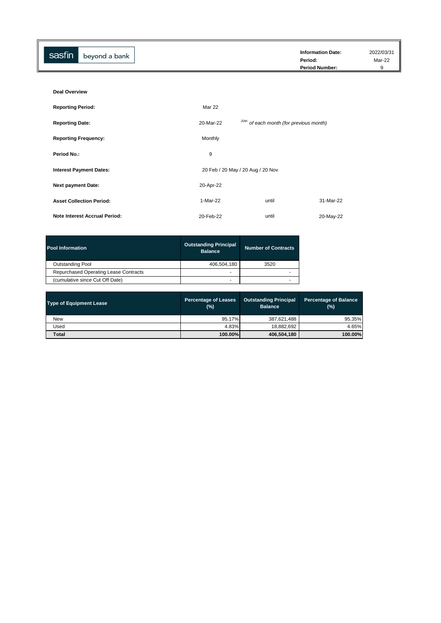| sasfin<br>beyond a bank | <b>Information Date:</b><br>Period:<br><b>Period Number:</b> | 2022/03/31<br>Mar-22 |
|-------------------------|--------------------------------------------------------------|----------------------|
|                         |                                                              |                      |

| <b>Deal Overview</b>                 |           |                                                    |           |
|--------------------------------------|-----------|----------------------------------------------------|-----------|
| <b>Reporting Period:</b>             | Mar 22    |                                                    |           |
| <b>Reporting Date:</b>               | 20-Mar-22 | <sup>20th</sup> of each month (for previous month) |           |
| <b>Reporting Frequency:</b>          | Monthly   |                                                    |           |
| <b>Period No.:</b>                   | 9         |                                                    |           |
| <b>Interest Payment Dates:</b>       |           | 20 Feb / 20 May / 20 Aug / 20 Nov                  |           |
| <b>Next payment Date:</b>            | 20-Apr-22 |                                                    |           |
| <b>Asset Collection Period:</b>      | 1-Mar-22  | until                                              | 31-Mar-22 |
| <b>Note Interest Accrual Period:</b> | 20-Feb-22 | until                                              | 20-May-22 |

| <b>Pool Information</b>               | <b>Outstanding Principal</b><br><b>Balance</b> | <b>Number of Contracts</b> |
|---------------------------------------|------------------------------------------------|----------------------------|
| <b>Outstanding Pool</b>               | 406,504,180                                    | 3520                       |
| Repurchased Operating Lease Contracts |                                                |                            |
| (cumulative since Cut Off Date)       |                                                |                            |

| <b>Type of Equipment Lease</b> | <b>Outstanding Principal</b><br><b>Percentage of Leases</b><br><b>Balance</b><br>(%) |             | <b>Percentage of Balance</b><br>(%) |
|--------------------------------|--------------------------------------------------------------------------------------|-------------|-------------------------------------|
| <b>New</b>                     | 95.17%                                                                               | 387,621,488 | 95.35%                              |
| Used                           | 4.83%                                                                                | 18,882,692  | 4.65%                               |
| <b>Total</b>                   | 100.00%                                                                              | 406,504,180 | 100.00%                             |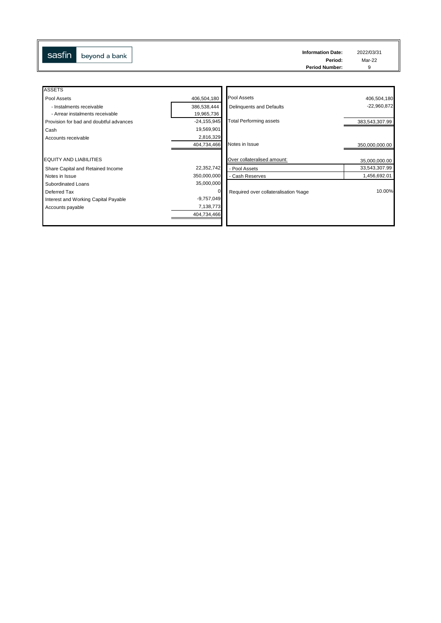| sasfin | beyond a bank | <b>Information Date:</b> | 2022/03/31 |
|--------|---------------|--------------------------|------------|
|        |               | Period:                  | Mar-22     |
|        |               | <b>Period Number:</b>    |            |
|        |               |                          |            |

| <b>ASSETS</b>                           |                 |                                      |                |
|-----------------------------------------|-----------------|--------------------------------------|----------------|
| Pool Assets                             | 406,504,180     | Pool Assets                          | 406,504,180    |
| - Instalments receivable                | 386,538,444     | Delinquents and Defaults             | $-22,960,872$  |
| - Arrear instalments receivable         | 19,965,736      |                                      |                |
| Provision for bad and doubtful advances | $-24, 155, 945$ | <b>Total Performing assets</b>       | 383,543,307.99 |
| Cash                                    | 19,569,901      |                                      |                |
| Accounts receivable                     | 2,816,329       |                                      |                |
|                                         | 404,734,466     | Notes in Issue                       | 350,000,000.00 |
|                                         |                 |                                      |                |
| <b>EQUITY AND LIABILITIES</b>           |                 | Over collateralised amount:          | 35,000,000.00  |
| Share Capital and Retained Income       | 22,352,742      | - Pool Assets                        | 33,543,307.99  |
| Notes in Issue                          | 350,000,000     | - Cash Reserves                      | 1,456,692.01   |
| Subordinated Loans                      | 35,000,000      |                                      |                |
| Deferred Tax                            | 0               | Required over collateralisation %age | 10.00%         |
| Interest and Working Capital Payable    | $-9,757,049$    |                                      |                |
| Accounts payable                        | 7,138,773       |                                      |                |
|                                         | 404,734,466     |                                      |                |
|                                         |                 |                                      |                |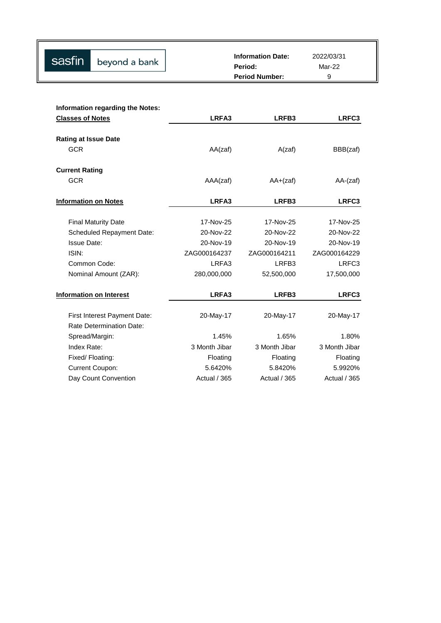| Sasfin beyond a bank | <b>Information Date:</b><br>Period: | 2022/03/31<br>Mar-22 |
|----------------------|-------------------------------------|----------------------|
|                      | <b>Period Number:</b>               |                      |

| <b>Information regarding the Notes:</b> |                     |                   |                |
|-----------------------------------------|---------------------|-------------------|----------------|
| <b>Classes of Notes</b>                 | LRFA3               | LRFB3             | LRFC3          |
|                                         |                     |                   |                |
| <b>Rating at Issue Date</b>             |                     |                   |                |
| <b>GCR</b>                              | AA(zaf)             | A(zaf)            | BBB(zaf)       |
| <b>Current Rating</b>                   |                     |                   |                |
| <b>GCR</b>                              | AAA(zaf)            | $AA+(zaf)$        | $AA$ - $(zaf)$ |
| <b>Information on Notes</b>             | LRFA3               | LRFB3             | LRFC3          |
|                                         |                     |                   |                |
| <b>Final Maturity Date</b>              | 17-Nov-25           | 17-Nov-25         | 17-Nov-25      |
| <b>Scheduled Repayment Date:</b>        | 20-Nov-22           | 20-Nov-22         | 20-Nov-22      |
| <b>Issue Date:</b>                      | 20-Nov-19           | 20-Nov-19         | 20-Nov-19      |
| ISIN:                                   | ZAG000164237        | ZAG000164211      | ZAG000164229   |
| Common Code:                            | LRFA3               | LRFB <sub>3</sub> | LRFC3          |
| Nominal Amount (ZAR):                   | 280,000,000         | 52,500,000        | 17,500,000     |
| Information on Interest                 | LRFA3               | LRFB3             | LRFC3          |
|                                         |                     |                   |                |
| First Interest Payment Date:            | 20-May-17           | 20-May-17         | 20-May-17      |
| <b>Rate Determination Date:</b>         |                     |                   |                |
| Spread/Margin:                          | 1.45%               | 1.65%             | 1.80%          |
| Index Rate:                             | 3 Month Jibar       | 3 Month Jibar     | 3 Month Jibar  |
| Fixed/Floating:                         | Floating            | Floating          | Floating       |
| <b>Current Coupon:</b>                  | 5.6420%             | 5.8420%           | 5.9920%        |
| Day Count Convention                    | <b>Actual / 365</b> | Actual / 365      | Actual / 365   |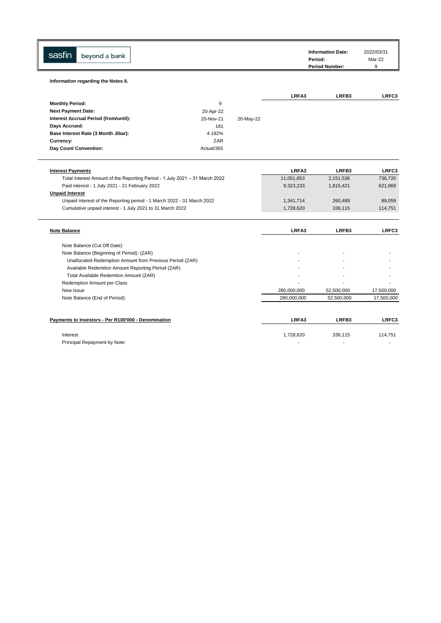| sasfin<br>beyond a bank                                                     |            |           |             | <b>Information Date:</b><br>Period:<br><b>Period Number:</b> | 2022/03/31<br>Mar-22<br>9 |
|-----------------------------------------------------------------------------|------------|-----------|-------------|--------------------------------------------------------------|---------------------------|
| Information regarding the Notes II.                                         |            |           |             |                                                              |                           |
|                                                                             |            |           | LRFA3       | LRFB3                                                        | LRFC3                     |
| <b>Monthly Period:</b>                                                      | 9          |           |             |                                                              |                           |
| <b>Next Payment Date:</b>                                                   | 20-Apr-22  |           |             |                                                              |                           |
| Interest Accrual Period (from/until):                                       | 20-Nov-21  | 20-May-22 |             |                                                              |                           |
| Days Accrued:                                                               | 181        |           |             |                                                              |                           |
| Base Interest Rate (3 Month Jibar):                                         | 4.192%     |           |             |                                                              |                           |
| Currency:                                                                   | ZAR        |           |             |                                                              |                           |
| Day Count Convention:                                                       | Actual/365 |           |             |                                                              |                           |
| <b>Interest Payments</b>                                                    |            |           | LRFA3       | LRFB3                                                        | LRFC3                     |
| Total Interest Amount of the Reporting Period - 1 July 2021 - 31 March 2022 |            |           | 11,051,853  | 2,151,536                                                    | 736,720                   |
| Paid interest - 1 July 2021 - 21 February 2022                              |            |           | 9,323,233   | 1,815,421                                                    | 621,969                   |
| <b>Unpaid Interest</b>                                                      |            |           |             |                                                              |                           |
| Unpaid interest of the Reporting period - 1 March 2022 - 31 March 2022      |            |           | 1,341,714   | 260,489                                                      | 89,059                    |
| Cumulative unpaid interest - 1 July 2021 to 31 March 2022                   |            |           | 1,728,620   | 336,115                                                      | 114,751                   |
| <b>Note Balance</b>                                                         |            |           | LRFA3       | LRFB3                                                        | LRFC3                     |
| Note Balance (Cut Off Date):                                                |            |           |             |                                                              |                           |
| Note Balance (Beginning of Period): (ZAR)                                   |            |           |             |                                                              |                           |
| Unallocated Redemption Amount from Previous Period (ZAR)                    |            |           |             |                                                              |                           |
| Available Redemtion Amount Reporting Period (ZAR)                           |            |           |             |                                                              |                           |
| Total Available Redemtion Amount (ZAR)                                      |            |           |             |                                                              |                           |
| Redemption Amount per Class                                                 |            |           |             |                                                              |                           |
| New Issue                                                                   |            |           | 280,000,000 | 52,500,000                                                   | 17,500,000                |
| Note Balance (End of Period):                                               |            |           | 280,000,000 | 52,500,000                                                   | 17,500,000                |
| Payments to Investors - Per R100'000 - Denomination                         |            |           | LRFA3       | LRFB3                                                        | LRFC3                     |
|                                                                             |            |           | 1,728,620   | 336,115                                                      | 114,751                   |
| Interest                                                                    |            |           |             |                                                              |                           |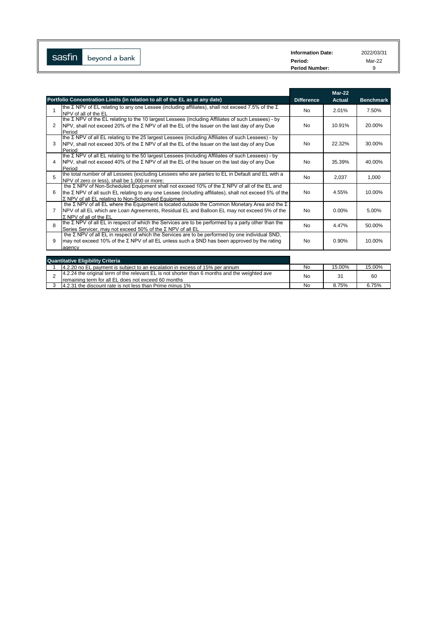| sasfin        | <b>Information Date:</b> | 2022/03/31 |
|---------------|--------------------------|------------|
| beyond a bank | Period:                  | Mar-22     |
|               | <b>Period Number:</b>    | ີ          |

|              |                                                                                                                                                                                                                                                              |                   | $Mar-22$      |                  |
|--------------|--------------------------------------------------------------------------------------------------------------------------------------------------------------------------------------------------------------------------------------------------------------|-------------------|---------------|------------------|
|              | Portfolio Concentration Limits (in relation to all of the EL as at any date)                                                                                                                                                                                 | <b>Difference</b> | <b>Actual</b> | <b>Benchmark</b> |
| 1            | the Σ NPV of EL relating to any one Lessee (including affiliates), shall not exceed 7.5% of the Σ<br>NPV of all of the EL                                                                                                                                    | <b>No</b>         | 2.01%         | 7.50%            |
| 2            | the Σ NPV of the EL relating to the 10 largest Lessees (including Affiliates of such Lessees) - by<br>NPV, shall not exceed 20% of the $\Sigma$ NPV of all the EL of the Issuer on the last day of any Due<br>Period                                         | <b>No</b>         | 10.91%        | 20.00%           |
| 3            | the Σ NPV of all EL relating to the 25 largest Lessees (including Affiliates of such Lessees) - by<br>NPV, shall not exceed 30% of the $\Sigma$ NPV of all the EL of the Issuer on the last day of any Due<br>Period                                         | <b>No</b>         | 22.32%        | 30.00%           |
| 4            | Ithe Σ NPV of all EL relating to the 50 largest Lessees (including Affiliates of such Lessees) - by<br>NPV, shall not exceed 40% of the $\Sigma$ NPV of all the EL of the Issuer on the last day of any Due<br>Period                                        | <b>No</b>         | 35.39%        | 40.00%           |
| 5            | the total number of all Lessees (excluding Lessees who are parties to EL in Default and EL with a<br>NPV of zero or less), shall be 1,000 or more;                                                                                                           | <b>No</b>         | 2,037         | 1,000            |
| 6            | the Σ NPV of Non-Scheduled Equipment shall not exceed 10% of the Σ NPV of all of the EL and<br>the Σ NPV of all such EL relating to any one Lessee (including affiliates), shall not exceed 5% of the<br>Σ NPV of all EL relating to Non-Scheduled Equipment | <b>No</b>         | 4.55%         | 10.00%           |
|              | the $\Sigma$ NPV of all EL where the Equipment is located outside the Common Monetary Area and the $\Sigma$<br>NPV of all EL which are Loan Agreements, Residual EL and Balloon EL may not exceed 5% of the<br>$\Sigma$ NPV of all of the EL                 | <b>No</b>         | 0.00%         | 5.00%            |
| $\mathsf{R}$ | Ithe Σ NPV of all EL in respect of which the Services are to be performed by a party other than the<br>Series Servicer, may not exceed 50% of the Σ NPV of all EL                                                                                            | <b>No</b>         | 4.47%         | 50.00%           |
| 9            | the Σ NPV of all EL in respect of which the Services are to be performed by one individual SND,<br>may not exceed 10% of the $\Sigma$ NPV of all EL unless such a SND has been approved by the rating<br>agency                                              | <b>No</b>         | 0.90%         | 10.00%           |
|              | and the comment of the comment of the                                                                                                                                                                                                                        |                   |               |                  |

| <b>Quantitative Eligibility Criteria</b>                                                                                                             |    |        |        |
|------------------------------------------------------------------------------------------------------------------------------------------------------|----|--------|--------|
| 4.2.20 no EL payment is subject to an escalation in excess of 15% per annum                                                                          | No | 15.00% | 15.00% |
| 4.2.24 the original term of the relevant EL is not shorter than 6 months and the weighted ave<br>remaining term for all EL does not exceed 60 months | No | 31     | 60     |
| 14.2.31 the discount rate is not less than Prime minus 1%                                                                                            | No | 8.75%  | 6.75%  |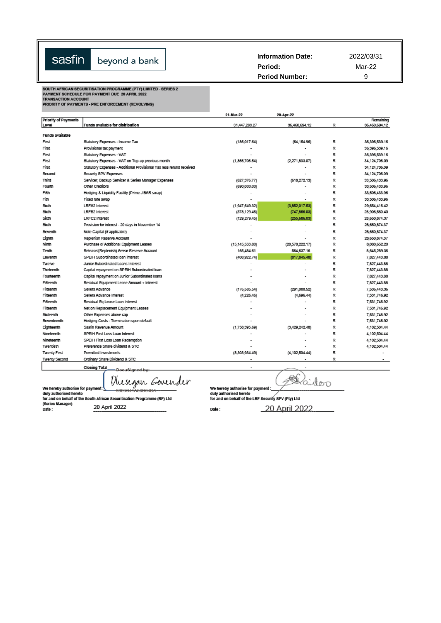| sasfin | beyond a bank | <b>Information Date:</b><br>Period: | 2022/03/31<br>Mar-22 |
|--------|---------------|-------------------------------------|----------------------|
|        |               | <b>Period Number:</b>               | a                    |

SOUTH AFRICAN SECURITISATION PROGRAMME (PTY) LIMITED - SERIES 2<br>PAYMENT SCHEDULE FOR PAYMENT DUE 20 APRIL 2022<br>TRANSACTION ACCOUNT<br>PRIORITY OF PAYMENTS - PRE ENFORCEMENT (REVOLVING)

|                             |                                                                      | 21-Mar-22         | 20-Apr-22                |   |                 |
|-----------------------------|----------------------------------------------------------------------|-------------------|--------------------------|---|-----------------|
| <b>Priority of Payments</b> |                                                                      |                   |                          |   | Remaining       |
| Level                       | Funds available for distribution                                     | 31,447,293.27     | 36,460,694.12            | R | 36,460,694.12   |
| Funds available             |                                                                      |                   |                          |   |                 |
| First                       | Statutory Expenses - Income Tax                                      | (186, 017.64)     | (64, 154.96)             | R | 36,396,539.16   |
| First                       | Provisional tax payment                                              |                   |                          | R | 36,396,539.16   |
| First                       | Statutory Expenses - VAT                                             |                   |                          | R | 36,396,539.16   |
| First                       | Statutory Expenses - VAT on Top-up previous month                    | (1,856,706.54)    | (2,271,833.07)           | R | 34,124,706.09   |
| First                       | Statutory Expenses - Additional Provisional Tax less refund received |                   |                          | R | 34, 124, 706.09 |
| Second                      | Security SPV Expenses                                                |                   |                          | R | 34, 124, 706.09 |
| Third                       | Servicer, Backup Servicer & Series Manager Expenses                  | (627, 376.77)     | (618,272.13)             | R | 33,506,433.96   |
| Fourth                      | Other Creditors                                                      | (690,000.00)      |                          | R | 33,506,433.96   |
| Film                        | Hedging & Liquidity Facility (Prime JIBAR swap)                      |                   |                          | R | 33,506,433.96   |
| Fith                        | Fixed rate swap                                                      |                   | $\overline{a}$           | R | 33,506,433.96   |
| Sixth                       | <b>LRFA2 Interest</b>                                                | (1,947,649.32)    | (3,852,017.53)           | R | 29.654.416.42   |
| Sodh                        | <b>LRFB2 Interest</b>                                                | (378, 129.45)     | (747, 856.03)            | R | 28,906,560.40   |
| Sixth                       | LRFC2 Interest                                                       | (129.279.45)      | (255,686.03)             | R | 28,650,874.37   |
| Sodh                        | Provision for interest - 20 days in November 14                      |                   | $\overline{\phantom{a}}$ | R | 28,650,874.37   |
| Seventh                     | Note Capital (if applicable)                                         |                   |                          | R | 28,650,874.37   |
| Eighth                      | Replenish Reserve Account                                            |                   |                          | R | 28,650,874.37   |
| Ninth                       | Purchase of Additional Equipment Leases                              | (15, 145, 553.80) | (20, 570, 222.17)        | R | 8,080,652.20    |
| Tenth                       | Release/(Replenish) Arrear Reserve Account                           | 165,484.61        | 564,637.16               | R | 8,645,289.36    |
| Eleventh                    | SPEIH Subordinated loan interest                                     | (408, 922.74)     | (817,845.48)             | R | 7,827,443.88    |
| Twelve                      | Junior Subordinated Loans Interest                                   |                   |                          | R | 7,827,443.88    |
| Thirteenth                  | Capital repayment on SPEIH Subordinated loan                         |                   |                          | R | 7,827,443.88    |
| Fourteenth                  | Capital repayment on Junior Subordinated Ioans                       |                   |                          | R | 7,827,443.88    |
| Fifteenth                   | Residual Equipment Lease Amount + Interest                           |                   |                          | R | 7,827,443.88    |
| Fifteenth                   | Sellers Advance                                                      | (176, 585.54)     | (291,000.52)             | R | 7,536,443.36    |
| Fifteenth                   | Sellers Advance Interest                                             | (4,226.46)        | (4,696.44)               | R | 7,531,746.92    |
| Fifteenth                   | Residual Eq Lease Loan Interest                                      |                   |                          | R | 7,531,746.92    |
| Fifteenth                   | Net on Replacement Equipment Leases                                  |                   |                          | R | 7,531,746.92    |
| Sixteenth                   | Other Expenses above cap                                             |                   |                          | R | 7,531,746.92    |
| Seventeenth                 | Hedging Costs - Termination upon default                             |                   |                          | R | 7,531,746.92    |
| Eighteenth                  | Sasfin Revenue Amount                                                | (1,758,395.69)    | (3,429,242.48)           | R | 4,102,504.44    |
| Nineteenth                  | SPEIH First Loss Loan Interest                                       |                   |                          | R | 4,102,504.44    |
| Nineteenth                  | SPEIH First Loss Loan Redemption                                     |                   |                          | R | 4,102,504.44    |
| Twentieth                   | Preference Share dividend & STC                                      |                   |                          | R | 4,102,504.44    |
| <b>Twenty First</b>         | <b>Permitted Investments</b>                                         | (8,303,934.49)    | (4, 102, 504.44)         | R |                 |
| <b>Twenty Second</b>        | Ordinary Share Dividend & STC                                        |                   |                          | R |                 |
|                             |                                                                      |                   |                          |   |                 |

**Closing Total** u<del>Signed b</del>y

Dusigan Govender

Daidoo

We hereby authorise for payment <br>duly authorised hereto<br>for and on behalf of the South African Securitisation Programme (RF) Ltd<br>(Series Manager)<br>Date : 20 April 2022

Date :

20 April 2022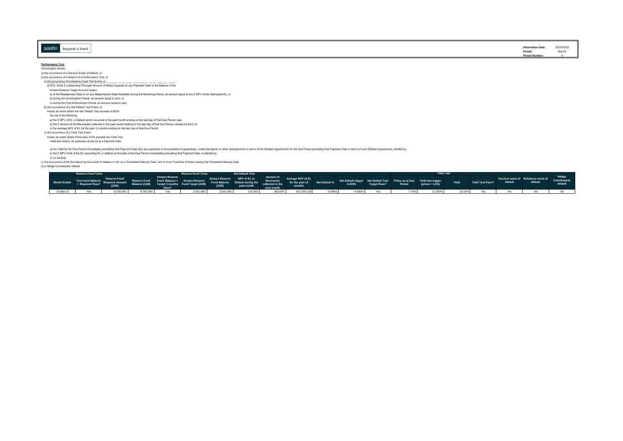| asfin | beyond a bank |
|-------|---------------|
|       |               |

**Information Date:** 2022/03/31 **Period:** Mar-22 **Period Num** 

#### **Performance Test** Amortisation events:

a) the occurrence of a Servicer Event of Default; or

b) the occurrence of a Breach of a Performance Test; or

- 
- a) the occurrence of a Reserve Hund. Test Event, or στο συναία το του από το στονοτιστοποιο του στο γιατοπικό<br>(2.50% of the Σ outstanding Principal Amount of Notes) required on any Payment Date or the balance of the
- Arrears Reserve Target Amount means:
- a) at the Restatement Date or on any Measurement Date thereafter during the Revolving Period, an amount equal to the Σ NPV of the Delinquent EL; or
- b) during the Amortisation Period, an amount equal to zero; or
- c) during the Post-Enforcement Period, an amount equal to zero;
- b) the occurrence of a Net Default Test Event; or
- means an event where the Net Default Test exceeds 4.000% the net of the following:
- 
- a) the Σ NPV of EL in Default which occurred in the past month ending on the last day of that Due Period: less
- b) the Σ amount of the Recoveries collected in the past month ending on the last day of that Due Period; divided by the Σ of<br>c) the average NPV of EL for the past 12 months ending on the last day of that Due Period.
- c) the occurrence of a Yield Test Event

means an event where Prime plus 3.5% exceeds the Yield Test

Yield test means, for purposes of and as at a Payment Date

a) the Yield or the Due Period inmediately receding that Payment Date last any symemats of the mass of the comparents incomparents in terms of the Related Agreements for the Due Period preceding that Payment Date in terms

c) 12 (twelve)

c) the occurrence of the first failure by the issuer to redeem in full, on a Scheduled Maturity Date, one or more Tranches of Notes having that Scheduled Maturity Date

d) a Hedge Counterparty Default

|           | <b>Reserve Fund Tests</b>                                                                                                                                                                                                     |           |           |                                                                                                                      | <b>Reserve Fund Tests 4</b> | <b>Net Default Test</b>                       |  |  |            | Yiold Tost                                    |        |  |  |
|-----------|-------------------------------------------------------------------------------------------------------------------------------------------------------------------------------------------------------------------------------|-----------|-----------|----------------------------------------------------------------------------------------------------------------------|-----------------------------|-----------------------------------------------|--|--|------------|-----------------------------------------------|--------|--|--|
|           | ent and the search of the server of the search of the search of the search of the search of the search of the search of the search of the search of the search of the search of the search of the search of the search of the |           |           |                                                                                                                      |                             |                                               |  |  |            |                                               |        |  |  |
| 31-Mar-22 |                                                                                                                                                                                                                               | 8,750,000 | 8,750,000 | <b>Solution Service Street Service Street Service Street Street Street Street Street Street Street Street Street</b> | 2,001,080                   | 2,001,080 119,380 693,679 412,259,126 -0.699% |  |  | 4.000% Yes | 11.250%<br>$\sim$ 11.200 $\sim$ 11.200 $\sim$ | 19.16% |  |  |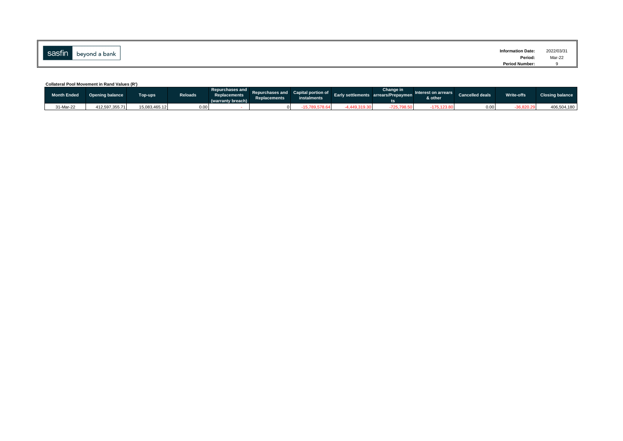| $\overline{\phantom{a}}$<br>sasfin' | bevond a bank | <b>Information Date:</b> | 2022/03/3                                     |
|-------------------------------------|---------------|--------------------------|-----------------------------------------------|
|                                     |               | Period:                  | Mar-22<br>the contract of the contract of the |
|                                     |               | <b>Period Number:</b>    |                                               |

**Collateral Pool Movement in Rand Values (R')**

| Month Ended | <b>Opening balance</b> | Top-ups <sup>1</sup> | <b>Reloads</b> | Replacements<br>(warranty breach) | Repurchases and Repurchases and Capital portion of<br><b>Replacements</b> | instalments | Early settlements arrears/Prepaymen | Change in | Interest on arrears<br>& other | Cancelled deals | Write-offs | <b>Closing balance</b> |
|-------------|------------------------|----------------------|----------------|-----------------------------------|---------------------------------------------------------------------------|-------------|-------------------------------------|-----------|--------------------------------|-----------------|------------|------------------------|
| 31-Mar-22   | 412.597.355.71         | 15,083,465.12        | 0.00           |                                   |                                                                           |             |                                     |           |                                | 0.00            | 36,820.29  | 406,504,180            |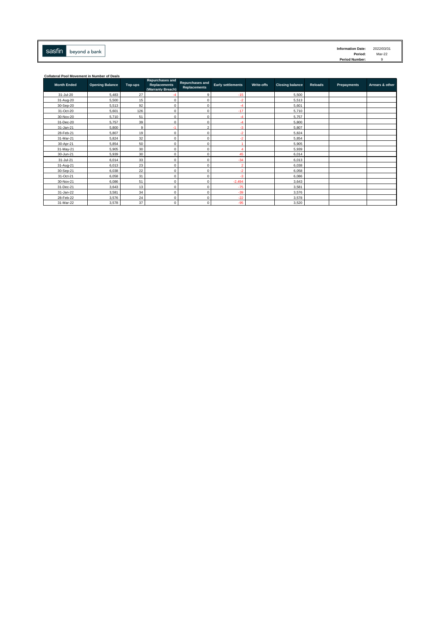| sasfin | beyond a bank |
|--------|---------------|
|        |               |

**Collateral Pool Movement in Number of Deals**

| <b>Month Ended</b> | <b>Opening Balance</b> | Top-ups | <b>Repurchases and</b><br><b>Replacements</b><br>(Warranty Breach) | Repurchases and<br><b>Replacements</b> | <b>Early settlements</b> | Write-offs | <b>Closing balance</b> | <b>Reloads</b> | Prepayments | Arrears & other |
|--------------------|------------------------|---------|--------------------------------------------------------------------|----------------------------------------|--------------------------|------------|------------------------|----------------|-------------|-----------------|
| 31-Jul-20          | 5,483                  | 27      |                                                                    | 9                                      | $-15$                    |            | 5,500                  |                |             |                 |
| 31-Aug-20          | 5,500                  | 15      | n                                                                  |                                        | $-2$                     |            | 5.513                  |                |             |                 |
| 30-Sep-20          | 5,513                  | 92      | 0                                                                  | 0                                      | -4                       |            | 5,601                  |                |             |                 |
| 31-Oct-20          | 5,601                  | 126     | n                                                                  | Λ                                      | $-17$                    |            | 5,710                  |                |             |                 |
| 30-Nov-20          | 5,710                  | 51      | በ                                                                  |                                        | -4                       |            | 5,757                  |                |             |                 |
| 31-Dec-20          | 5.757                  | 39      | o                                                                  |                                        | -4                       |            | 5,800                  |                |             |                 |
| 31-Jan-21          | 5,800                  | 9       | ×                                                                  | $\mathfrak{p}$                         | $-3$                     |            | 5,807                  |                |             |                 |
| 28-Feb-21          | 5,807                  | 19      | n                                                                  |                                        | -2                       |            | 5,824                  |                |             |                 |
| 31-Mar-21          | 5,824                  | 32      | በ                                                                  | Λ                                      | -2                       |            | 5,854                  |                |             |                 |
| 30-Apr-21          | 5,854                  | 50      |                                                                    |                                        |                          |            | 5,905                  |                |             |                 |
| 31-May-21          | 5,905                  | 30      | በ                                                                  |                                        |                          |            | 5,939                  |                |             |                 |
| 30-Jun-21          | 5,939                  | 30      | O                                                                  | 0                                      | 45                       |            | 6,014                  |                |             |                 |
| 31-Jul-21          | 6,014                  | 33      | o                                                                  |                                        | $-34$                    |            | 6,013                  |                |             |                 |
| 31-Aug-21          | 6,013                  | 23      | o                                                                  | Λ                                      | ာ                        |            | 6.038                  |                |             |                 |
| 30-Sep-21          | 6,038                  | 22      | o                                                                  | Λ                                      | -2                       |            | 6,058                  |                |             |                 |
| 31-Oct-21          | 6,058                  | 31      |                                                                    |                                        | -3                       |            | 6,086                  |                |             |                 |
| 30-Nov-21          | 6,086                  | 51      | Ō                                                                  |                                        | $-2,494$                 |            | 3,643                  |                |             |                 |
| 31-Dec-21          | 3,643                  | 13      | 0                                                                  | $\Omega$                               | $-75$                    |            | 3,581                  |                |             |                 |
| 31-Jan-22          | 3,581                  | 34      | 0                                                                  | 0                                      | $-39$                    |            | 3,576                  |                |             |                 |
| 28-Feb-22          | 3,576                  | 24      | 0                                                                  | 0                                      | $-22$                    |            | 3,578                  |                |             |                 |
| 31-Mar-22          | 3,578                  | 37      | $\Omega$                                                           | $\Omega$                               | $-95$                    |            | 3,520                  |                |             |                 |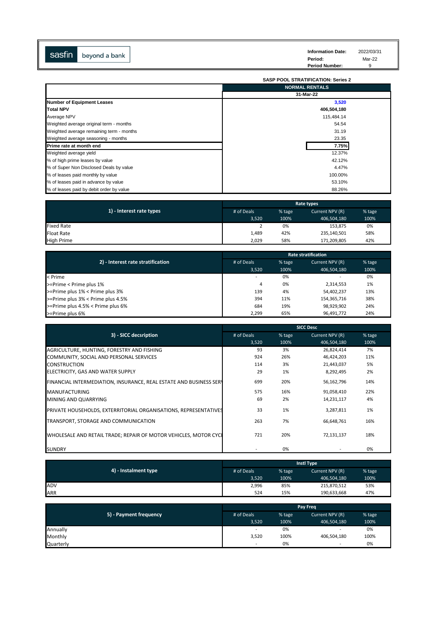| sasfin | beyond a bank | <b>Information Date:</b><br>Period: | 2022/03/31<br>Mar-22 |
|--------|---------------|-------------------------------------|----------------------|
|        |               | <b>Period Number:</b>               |                      |

|                                          | <b>SASP POOL STRATIFICATION: Series 2</b> |
|------------------------------------------|-------------------------------------------|
|                                          | <b>NORMAL RENTALS</b>                     |
|                                          | 31-Mar-22                                 |
| <b>Number of Equipment Leases</b>        | 3,520                                     |
| <b>Total NPV</b>                         | 406,504,180                               |
| Average NPV                              | 115,484.14                                |
| Weighted average original term - months  | 54.54                                     |
| Weighted average remaining term - months | 31.19                                     |
| Weighted average seasoning - months      | 23.35                                     |
| Prime rate at month end                  | 7.75%                                     |
| Weighted average yield                   | 12.37%                                    |
| % of high prime leases by value          | 42.12%                                    |
| % of Super Non Disclosed Deals by value  | 4.47%                                     |
| % of leases paid monthly by value        | 100.00%                                   |
| % of leases paid in advance by value     | 53.10%                                    |
| % of leases paid by debit order by value | 88.26%                                    |

|                          | Rate types |        |                 |        |
|--------------------------|------------|--------|-----------------|--------|
| 1) - Interest rate types | # of Deals | % tage | Current NPV (R) | % tage |
|                          | 3.520      | 100%   | 406,504,180     | 100%   |
| <b>Fixed Rate</b>        |            | 0%     | 153,875         | 0%     |
| <b>Float Rate</b>        | 1,489      | 42%    | 235,140,501     | 58%    |
| <b>High Prime</b>        | 2,029      | 58%    | 171,209,805     | 42%    |

|                                   | <b>Rate stratification</b> |        |                 |        |  |
|-----------------------------------|----------------------------|--------|-----------------|--------|--|
| 2) - Interest rate stratification | # of Deals                 | % tage | Current NPV (R) | % tage |  |
|                                   | 3.520                      | 100%   | 406,504,180     | 100%   |  |
| < Prime                           |                            | 0%     |                 | 0%     |  |
| $\ge$ Prime < Prime plus 1%       | 4                          | 0%     | 2,314,553       | 1%     |  |
| >=Prime plus 1% < Prime plus 3%   | 139                        | 4%     | 54,402,237      | 13%    |  |
| >=Prime plus 3% < Prime plus 4.5% | 394                        | 11%    | 154,365,716     | 38%    |  |
| >=Prime plus 4.5% < Prime plus 6% | 684                        | 19%    | 98,929,902      | 24%    |  |
| $\ge$ Prime plus 6%               | 2,299                      | 65%    | 96,491,772      | 24%    |  |

|                                                                    |            |        | <b>SICC Desc</b> |        |
|--------------------------------------------------------------------|------------|--------|------------------|--------|
| 3) - SICC decsription                                              | # of Deals | % tage | Current NPV (R)  | % tage |
|                                                                    | 3,520      | 100%   | 406,504,180      | 100%   |
| AGRICULTURE, HUNTING, FORESTRY AND FISHING                         | 93         | 3%     | 26,824,414       | 7%     |
| COMMUNITY, SOCIAL AND PERSONAL SERVICES                            | 924        | 26%    | 46,424,203       | 11%    |
| <b>CONSTRUCTION</b>                                                | 114        | 3%     | 21,443,037       | 5%     |
| ELECTRICITY, GAS AND WATER SUPPLY                                  | 29         | 1%     | 8,292,495        | 2%     |
| FINANCIAL INTERMEDIATION, INSURANCE, REAL ESTATE AND BUSINESS SERY | 699        | 20%    | 56,162,796       | 14%    |
| <b>MANUFACTURING</b>                                               | 575        | 16%    | 91,058,410       | 22%    |
| MINING AND QUARRYING                                               | 69         | 2%     | 14,231,117       | 4%     |
| PRIVATE HOUSEHOLDS, EXTERRITORIAL ORGANISATIONS, REPRESENTATIVES   | 33         | 1%     | 3,287,811        | 1%     |
| TRANSPORT, STORAGE AND COMMUNICATION                               | 263        | 7%     | 66,648,761       | 16%    |
| WHOLESALE AND RETAIL TRADE; REPAIR OF MOTOR VEHICLES, MOTOR CYCL   | 721        | 20%    | 72,131,137       | 18%    |
| <b>SUNDRY</b>                                                      |            | 0%     |                  | 0%     |

|                      | <b>Instl Type</b> |        |                 |        |
|----------------------|-------------------|--------|-----------------|--------|
| 4) - Instalment type | # of Deals        | % tage | Current NPV (R) | % tage |
|                      | 3,520             | 100%   | 406,504,180     | 100%   |
| ADV                  | 2,996             | 85%    | 215,870,512     | 53%    |
| ARR                  | 524               | 15%    | 190,633,668     | 47%    |

| 5) - Payment frequency | <b>Pay Freq</b>          |        |                          |        |
|------------------------|--------------------------|--------|--------------------------|--------|
|                        | # of Deals               | % tage | Current NPV (R)          | % tage |
|                        | 3,520                    | 100%   | 406,504,180              | 100%   |
| Annually               | -                        | 0%     | -                        | 0%     |
| Monthly                | 3,520                    | 100%   | 406,504,180              | 100%   |
| Quarterly              | $\overline{\phantom{a}}$ | 0%     | $\overline{\phantom{a}}$ | 0%     |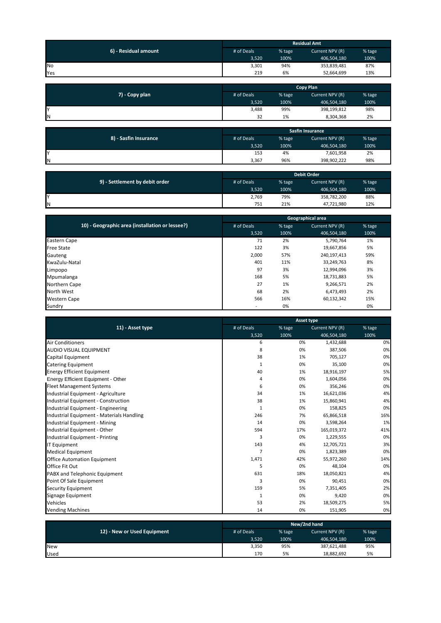| 6) - Residual amount | <b>Residual Amt</b> |        |                 |        |
|----------------------|---------------------|--------|-----------------|--------|
|                      | # of Deals          | % tage | Current NPV (R) | % tage |
|                      | 3,520               | 100%   | 406,504,180     | 100%   |
| <b>No</b>            | 3,301               | 94%    | 353,839,481     | 87%    |
| Yes                  | 219                 | 6%     | 52,664,699      | 13%    |

|                | <b>Copy Plan</b> |        |                 |        |
|----------------|------------------|--------|-----------------|--------|
| 7) - Copy plan | # of Deals       | % tage | Current NPV (R) | % tage |
|                | 3,520            | 100%   | 406,504,180     | 100%   |
| ΙY             | 3,488            | 99%    | 398,199,812     | 98%    |
| IΝ             | 32               | 1%     | 8,304,368       | 2%     |

| 8) - Sasfin Insurance | <b>Sasfin Insurance</b> |        |                 |        |
|-----------------------|-------------------------|--------|-----------------|--------|
|                       | # of Deals              | % tage | Current NPV (R) | % tage |
|                       | 3,520                   | 100%   | 406,504,180     | 100%   |
| Υ                     | 153                     | 4%     | 7,601,958       | 2%     |
| ΙN                    | 3,367                   | 96%    | 398,902,222     | 98%    |

|                                | <b>Debit Order</b> |        |                 |        |
|--------------------------------|--------------------|--------|-----------------|--------|
| 9) - Settlement by debit order | # of Deals         | % tage | Current NPV (R) | % tage |
|                                | 3,520              | 100%   | 406,504,180     | 100%   |
| v                              | 2,769              | 79%    | 358,782,200     | 88%    |
| IΝ                             | 751                | 21%    | 47,721,980      | 12%    |

|                                                 |            |        | Geographical area |        |
|-------------------------------------------------|------------|--------|-------------------|--------|
| 10) - Geographic area (installation or lessee?) | # of Deals | % tage | Current NPV (R)   | % tage |
|                                                 | 3,520      | 100%   | 406,504,180       | 100%   |
| Eastern Cape                                    | 71         | 2%     | 5,790,764         | 1%     |
| <b>Free State</b>                               | 122        | 3%     | 19,667,856        | 5%     |
| Gauteng                                         | 2,000      | 57%    | 240,197,413       | 59%    |
| KwaZulu-Natal                                   | 401        | 11%    | 33,249,763        | 8%     |
| Limpopo                                         | 97         | 3%     | 12,994,096        | 3%     |
| Mpumalanga                                      | 168        | 5%     | 18,731,883        | 5%     |
| Northern Cape                                   | 27         | 1%     | 9,266,571         | 2%     |
| North West                                      | 68         | 2%     | 6,473,493         | 2%     |
| <b>Western Cape</b>                             | 566        | 16%    | 60,132,342        | 15%    |
| Sundry                                          |            | 0%     |                   | 0%     |

|                                           | Asset type     |        |                 |        |  |
|-------------------------------------------|----------------|--------|-----------------|--------|--|
| 11) - Asset type                          | # of Deals     | % tage | Current NPV (R) | % tage |  |
|                                           | 3,520          | 100%   | 406,504,180     | 100%   |  |
| <b>Air Conditioners</b>                   | 6              | 0%     | 1,432,688       | 0%     |  |
| <b>AUDIO VISUAL EQUIPMENT</b>             | 8              | 0%     | 387,506         | 0%     |  |
| Capital Equipment                         | 38             | 1%     | 705,127         | 0%     |  |
| Catering Equipment                        | 1              | 0%     | 35,100          | 0%     |  |
| <b>Energy Efficient Equipment</b>         | 40             | 1%     | 18,916,197      | 5%     |  |
| Energy Efficient Equipment - Other        | 4              | 0%     | 1,604,056       | 0%     |  |
| <b>Fleet Management Systems</b>           | 6              | 0%     | 356,246         | 0%     |  |
| Industrial Equipment - Agriculture        | 34             | 1%     | 16,621,036      | 4%     |  |
| Industrial Equipment - Construction       | 38             | 1%     | 15,860,941      | 4%     |  |
| Industrial Equipment - Engineering        | $\mathbf{1}$   | 0%     | 158,825         | 0%     |  |
| Industrial Equipment - Materials Handling | 246            | 7%     | 65,866,518      | 16%    |  |
| Industrial Equipment - Mining             | 14             | 0%     | 3,598,264       | 1%     |  |
| Industrial Equipment - Other              | 594            | 17%    | 165,019,372     | 41%    |  |
| Industrial Equipment - Printing           | 3              | 0%     | 1,229,555       | 0%     |  |
| <b>IT Equipment</b>                       | 143            | 4%     | 12,705,721      | 3%     |  |
| <b>Medical Equipment</b>                  | $\overline{7}$ | 0%     | 1,823,389       | 0%     |  |
| <b>Office Automation Equipment</b>        | 1,471          | 42%    | 55,972,260      | 14%    |  |
| Office Fit Out                            | 5              | 0%     | 48,104          | 0%     |  |
| PABX and Telephonic Equipment             | 631            | 18%    | 18,050,821      | 4%     |  |
| Point Of Sale Equipment                   | 3              | 0%     | 90,451          | 0%     |  |
| Security Equipment                        | 159            | 5%     | 7,351,405       | 2%     |  |
| Signage Equipment                         | 1              | 0%     | 9,420           | 0%     |  |
| Vehicles                                  | 53             | 2%     | 18,509,275      | 5%     |  |
| <b>Vending Machines</b>                   | 14             | 0%     | 151,905         | 0%     |  |

|                             | New/2nd hand |        |                 |        |
|-----------------------------|--------------|--------|-----------------|--------|
| 12) - New or Used Equipment | # of Deals   | % tage | Current NPV (R) | % tage |
|                             | 3,520        | 100%   | 406,504,180     | 100%   |
| <b>New</b>                  | 3,350        | 95%    | 387,621,488     | 95%    |
| Used                        | 170          | 5%     | 18,882,692      | 5%     |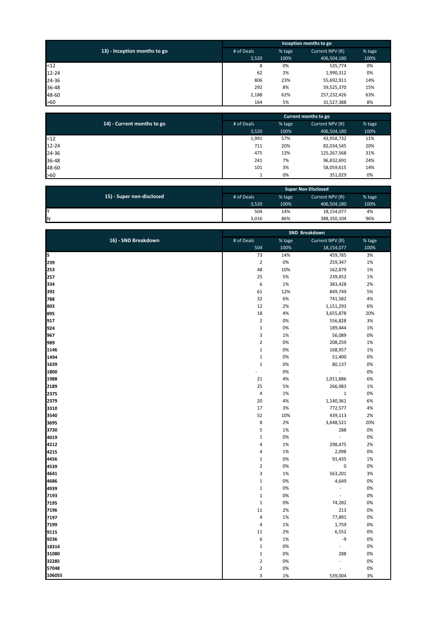|                              | Inception months to go |        |                 |        |
|------------------------------|------------------------|--------|-----------------|--------|
| 13) - Inception months to go | # of Deals             | % tage | Current NPV (R) | % tage |
|                              | 3,520                  | 100%   | 406,504,180     | 100%   |
| $12$                         | 8                      | 0%     | 535,774         | 0%     |
| $12 - 24$                    | 62                     | 2%     | 1,990,312       | 0%     |
| 24-36                        | 806                    | 23%    | 55,692,911      | 14%    |
| 36-48                        | 292                    | 8%     | 59,525,370      | 15%    |
| 48-60                        | 2,188                  | 62%    | 257,232,426     | 63%    |
| >60                          | 164                    | 5%     | 31,527,388      | 8%     |

|                            | Current months to go |        |                 |        |
|----------------------------|----------------------|--------|-----------------|--------|
| 14) - Current months to go | # of Deals           | % tage | Current NPV (R) | % tage |
|                            | 3,520                | 100%   | 406,504,180     | 100%   |
| < 12                       | 1,991                | 57%    | 43,958,732      | 11%    |
| $12 - 24$                  | 711                  | 20%    | 82,034,545      | 20%    |
| 24-36                      | 475                  | 13%    | 125,267,568     | 31%    |
| 36-48                      | 241                  | 7%     | 96,832,691      | 24%    |
| 48-60                      | 101                  | 3%     | 58,059,615      | 14%    |
| >60                        |                      | 0%     | 351,029         | 0%     |

|                           | <b>Super Non Disclosed</b> |        |                 |        |
|---------------------------|----------------------------|--------|-----------------|--------|
| 15) - Super non-disclosed | # of Deals                 | % tage | Current NPV (R) | % tage |
|                           | 3.520                      | 100%   | 406,504,180     | 100%   |
| v                         | 504                        | 14%    | 18,154,077      | 4%     |
| IN                        | 3,016                      | 86%    | 388,350,104     | 96%    |

|                     | SND Breakdown    |        |                          |        |
|---------------------|------------------|--------|--------------------------|--------|
| 16) - SND Breakdown | # of Deals       | % tage | Current NPV (R)          | % tage |
|                     | 504              | 100%   | 18,154,077               | 100%   |
| 5                   | 73               | 14%    | 459,785                  | 3%     |
| 239                 | $\overline{2}$   | 0%     | 259,347                  | 1%     |
| 253                 | 48               | 10%    | 162,879                  | 1%     |
| 257                 | 25               | 5%     | 239,452                  | 1%     |
| 334                 | $\boldsymbol{6}$ | 1%     | 383,428                  | 2%     |
| 392                 | 61               | 12%    | 849,749                  | 5%     |
| 788                 | 32               | 6%     | 741,582                  | 4%     |
| 803                 | 12               | 2%     | 1,151,293                | 6%     |
| 895                 | 18               | 4%     | 3,655,878                | 20%    |
| 917                 | $\mathbf 2$      | 0%     | 556,828                  | 3%     |
| 924                 | $\mathbf{1}$     | 0%     | 189,444                  | 1%     |
| 967                 | 3                | 1%     | 56,089                   | 0%     |
| 989                 | $\overline{2}$   | 0%     | 208,259                  | 1%     |
| 1146                | $\mathbf{1}$     | 0%     | 168,957                  | 1%     |
| 1494                | $1\,$            | 0%     | 51,400                   | 0%     |
| 1639                | $\,1\,$          | 0%     | 80,137                   | 0%     |
| 1800                |                  | 0%     | $\overline{\phantom{a}}$ | 0%     |
| 1988                | 21               | 4%     | 1,011,886                | 6%     |
| 2189                | 25               | 5%     | 266,983                  | 1%     |
| 2375                | $\overline{4}$   | 1%     | $\mathbf 1$              | 0%     |
| 2379                | 20               | 4%     | 1,140,361                | 6%     |
| 3310                | 17               | 3%     | 772,577                  | 4%     |
| 3540                | 52               | 10%    | 439,113                  | 2%     |
| 3695                | 8                | 2%     | 3,648,521                | 20%    |
| 3730                | 5                | 1%     | 288                      | 0%     |
| 4019                | $\,1\,$          | 0%     | $\blacksquare$           | 0%     |
| 4212                | $\overline{4}$   | 1%     | 298,475                  | 2%     |
| 4215                | $\overline{4}$   | 1%     | 2,098                    | 0%     |
| 4456                | $\mathbf{1}$     | 0%     | 91,435                   | 1%     |
| 4539                | $\overline{2}$   | 0%     | $\pmb{0}$                | 0%     |
| 4641                | 3                | 1%     | 563,201                  | 3%     |
| 4686                | $1\,$            | 0%     | 4,649                    | 0%     |
| 4939                | $\,1\,$          | 0%     | $\blacksquare$           | 0%     |
| 7193                | $\,1\,$          | 0%     | $\overline{\phantom{a}}$ | 0%     |
| 7195                | $\mathbf 1$      | 0%     | 74,282                   | 0%     |
| 7196                | 11               | 2%     | 213                      | 0%     |
| 7197                | $\overline{4}$   | 1%     | 77,891                   | 0%     |
| 7199                | $\overline{a}$   | 1%     | 1,759                    | 0%     |
| 9115                | 11               | 2%     | 6,552                    | 0%     |
| 9236                | 6                | 1%     | -9                       | 0%     |
| 18314               | $\mathbf{1}$     | 0%     | $\Box$                   | 0%     |
| 31080               | $\mathbf{1}$     | 0%     | 288                      | 0%     |
| 32285               | $\overline{2}$   | 0%     | $\overline{\phantom{a}}$ | 0%     |
| 57048               | $\mathbf 2$      | 0%     | $\overline{a}$           | 0%     |
| 106055              | $\overline{3}$   | 1%     | 539,004                  | 3%     |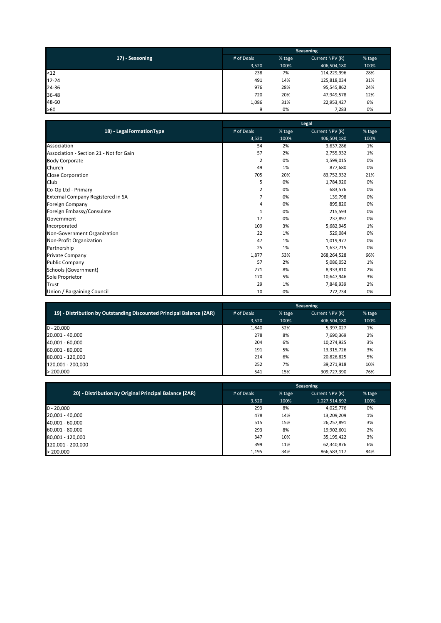|                 | Seasoning  |        |                 |        |
|-----------------|------------|--------|-----------------|--------|
| 17) - Seasoning | # of Deals | % tage | Current NPV (R) | % tage |
|                 | 3.520      | 100%   | 406,504,180     | 100%   |
| < 12            | 238        | 7%     | 114,229,996     | 28%    |
| $12 - 24$       | 491        | 14%    | 125,818,034     | 31%    |
| 24-36           | 976        | 28%    | 95,545,862      | 24%    |
| 36-48           | 720        | 20%    | 47,949,578      | 12%    |
| 48-60           | 1,086      | 31%    | 22,953,427      | 6%     |
| $>60$           | 9          | 0%     | 7,283           | 0%     |

|                                         |            |        | Legal           |        |
|-----------------------------------------|------------|--------|-----------------|--------|
| 18) - LegalFormationType                | # of Deals | % tage | Current NPV (R) | % tage |
|                                         | 3,520      | 100%   | 406,504,180     | 100%   |
| Association                             | 54         | 2%     | 3,637,286       | 1%     |
| Association - Section 21 - Not for Gain | 57         | 2%     | 2,755,932       | 1%     |
| <b>Body Corporate</b>                   | 2          | 0%     | 1,599,015       | 0%     |
| Church                                  | 49         | 1%     | 877,680         | 0%     |
| Close Corporation                       | 705        | 20%    | 83,752,932      | 21%    |
| Club                                    | 5          | 0%     | 1,784,920       | 0%     |
| Co-Op Ltd - Primary                     | 2          | 0%     | 683,576         | 0%     |
| External Company Registered in SA       | 7          | 0%     | 139,798         | 0%     |
| Foreign Company                         | 4          | 0%     | 895,820         | 0%     |
| Foreign Embassy/Consulate               | 1          | 0%     | 215,593         | 0%     |
| Government                              | 17         | 0%     | 237,897         | 0%     |
| Incorporated                            | 109        | 3%     | 5,682,945       | 1%     |
| Non-Government Organization             | 22         | 1%     | 529,084         | 0%     |
| Non-Profit Organization                 | 47         | 1%     | 1,019,977       | 0%     |
| Partnership                             | 25         | 1%     | 1,637,715       | 0%     |
| Private Company                         | 1,877      | 53%    | 268,264,528     | 66%    |
| <b>Public Company</b>                   | 57         | 2%     | 5,086,052       | 1%     |
| Schools (Government)                    | 271        | 8%     | 8,933,810       | 2%     |
| Sole Proprietor                         | 170        | 5%     | 10,647,946      | 3%     |
| <b>Trust</b>                            | 29         | 1%     | 7,848,939       | 2%     |
| Union / Bargaining Council              | 10         | 0%     | 272,734         | 0%     |

|                                                                      | <b>Seasoning</b> |        |                 |        |
|----------------------------------------------------------------------|------------------|--------|-----------------|--------|
| 19) - Distribution by Outstanding Discounted Principal Balance (ZAR) | # of Deals       | % tage | Current NPV (R) | % tage |
|                                                                      | 3,520            | 100%   | 406,504,180     | 100%   |
| $0 - 20,000$                                                         | 1,840            | 52%    | 5,397,027       | 1%     |
| 20,001 - 40,000                                                      | 278              | 8%     | 7,690,369       | 2%     |
| 40,001 - 60,000                                                      | 204              | 6%     | 10,274,925      | 3%     |
| 60,001 - 80,000                                                      | 191              | 5%     | 13,315,726      | 3%     |
| 80,001 - 120,000                                                     | 214              | 6%     | 20,826,825      | 5%     |
| 120,001 - 200,000                                                    | 252              | 7%     | 39,271,918      | 10%    |
| > 200,000                                                            | 541              | 15%    | 309.727.390     | 76%    |

|                                                        | <b>Seasoning</b> |        |                 |        |
|--------------------------------------------------------|------------------|--------|-----------------|--------|
| 20) - Distribution by Original Principal Balance (ZAR) | # of Deals       | % tage | Current NPV (R) | % tage |
|                                                        | 3.520            | 100%   | 1,027,514,892   | 100%   |
| $0 - 20,000$                                           | 293              | 8%     | 4,025,776       | 0%     |
| 20,001 - 40,000                                        | 478              | 14%    | 13,209,209      | 1%     |
| 40,001 - 60,000                                        | 515              | 15%    | 26,257,891      | 3%     |
| 60,001 - 80,000                                        | 293              | 8%     | 19,902,601      | 2%     |
| 80,001 - 120,000                                       | 347              | 10%    | 35,195,422      | 3%     |
| 120,001 - 200,000                                      | 399              | 11%    | 62,340,876      | 6%     |
| > 200,000                                              | 1,195            | 34%    | 866,583,117     | 84%    |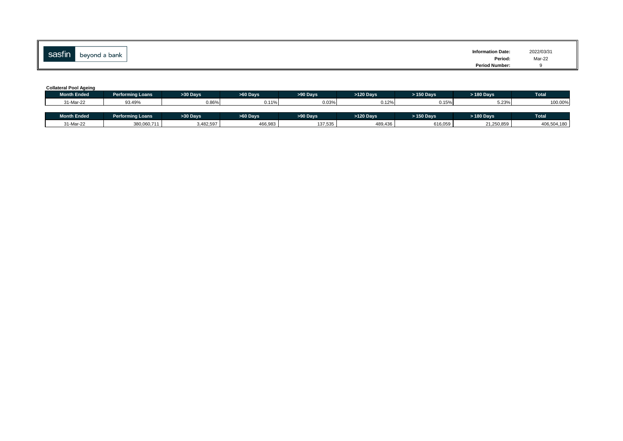| $\mathbf{r}$<br>sasfin | beyond a bank | <b>Information Date:</b> | 2022/03/31 |
|------------------------|---------------|--------------------------|------------|
|                        |               | Period                   | Mar-22     |
|                        |               | <b>Period Number:</b>    |            |

#### **Collateral Pool Ageing**

| <b>Month Ended</b> | Performing Loans | >30 Davs  | >60 Davs | >90 Davs | $>120$ Davs | > 150 Davs | > 180 Davs | <b>Total</b> |
|--------------------|------------------|-----------|----------|----------|-------------|------------|------------|--------------|
| 31-Mar-22          | 93.49%           | 0.86%     | 0.11%    | 0.03%    | 0.12%       | 0.15%      | 5.23%      | 100.00%      |
|                    |                  |           |          |          |             |            |            |              |
| <b>Month Ended</b> | Performing Loans | >30 Days  | >60 Davs | >90 Davs | >120 Davs   | > 150 Days | > 180 Davs | <b>Total</b> |
| 31-Mar-22          | 380,060,711      | 3,482,597 | 466,983  | 137,535  | 489,436     | 616,059    | 21,250,859 | 406,504,180  |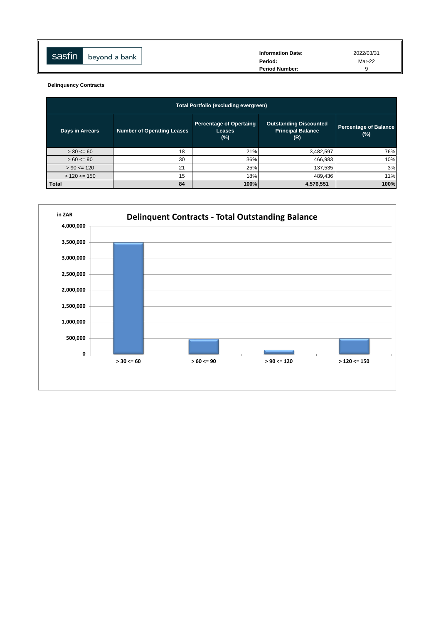| sasfin | beyond a bank | <b>Information Date:</b> | 2022/03/31 |
|--------|---------------|--------------------------|------------|
|        |               | Period:                  | Mar-22     |
|        |               | <b>Period Number:</b>    |            |
|        |               |                          |            |

**Delinquency Contracts**

| <b>Total Portfolio (excluding evergreen)</b> |                                   |                                                           |                                                                  |                                        |  |  |
|----------------------------------------------|-----------------------------------|-----------------------------------------------------------|------------------------------------------------------------------|----------------------------------------|--|--|
| Days in Arrears                              | <b>Number of Operating Leases</b> | <b>Percentage of Opertaing</b><br><b>Leases</b><br>$(\%)$ | <b>Outstanding Discounted</b><br><b>Principal Balance</b><br>(R) | <b>Percentage of Balance</b><br>$(\%)$ |  |  |
| $> 30 \le 60$                                | 18                                | 21%                                                       | 3,482,597                                                        | 76%                                    |  |  |
| $>60 \le 90$                                 | 30                                | 36%                                                       | 466,983                                                          | 10%                                    |  |  |
| $> 90 \le 120$                               | 21                                | 25%                                                       | 137,535                                                          | 3%                                     |  |  |
| $> 120 \le 150$                              | 15                                | 18%                                                       | 489,436                                                          | 11%                                    |  |  |
| <b>Total</b>                                 | 84                                | 100%                                                      | 4,576,551                                                        | 100%                                   |  |  |

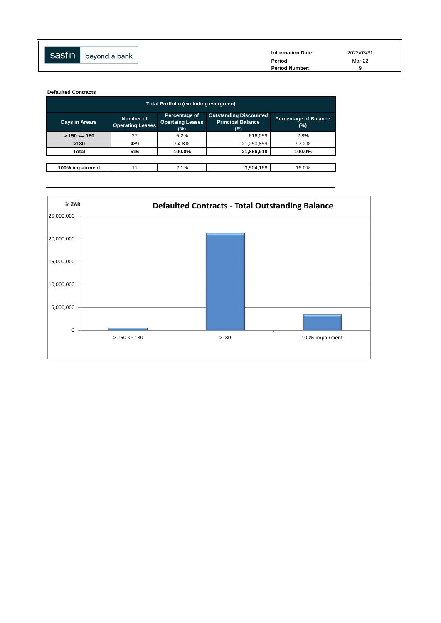| sasfin | beyond a bank | <b>Information Date:</b><br>Period: | 2022/03/31<br>Mar-22 |
|--------|---------------|-------------------------------------|----------------------|
|        |               | <b>Period Number:</b>               |                      |

**Defaulted Contracts**

| Total Portfolio (excluding evergreen) |                                      |                                                 |                                                                  |                                        |  |  |  |
|---------------------------------------|--------------------------------------|-------------------------------------------------|------------------------------------------------------------------|----------------------------------------|--|--|--|
| Days in Arears                        | Number of<br><b>Operating Leases</b> | Percentage of<br><b>Opertaing Leases</b><br>(%) | <b>Outstanding Discounted</b><br><b>Principal Balance</b><br>(R) | <b>Percentage of Balance</b><br>$(\%)$ |  |  |  |
| $> 150 \le 180$                       | 27                                   | 5.2%                                            | 616,059                                                          | 2.8%                                   |  |  |  |
| >180                                  | 489                                  | 94.8%                                           | 21,250,859                                                       | 97.2%                                  |  |  |  |
| Total                                 | 516                                  | 100.0%                                          | 21,866,918                                                       | 100.0%                                 |  |  |  |
|                                       |                                      |                                                 |                                                                  |                                        |  |  |  |
| 100% impairment                       | 11                                   | 2.1%                                            | 3,504,168                                                        | 16.0%                                  |  |  |  |

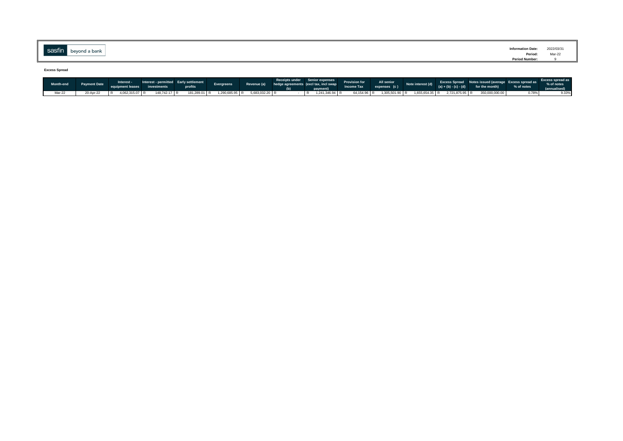| $\sim$                 | <b>Information Date:</b> | 2022/03/31 |
|------------------------|--------------------------|------------|
| peyond a bank<br>຺ຩຩຩ຺ | Period:<br>$\ldots$      | Mar-22     |
|                        | <b>Period Number:</b>    |            |
|                        |                          |            |

**Excess Spread**

|        | Month-end Payment Date | Interest -<br>equipment leases investments | Interest - permitted Early settlement | <b>Exercise Service Service Service Service</b> | Evergreens                                   |  | Receipts under Senior expenses<br>Revenue (a) hedge agreements (exclicus, incl swap Provision for All senior<br>Income Tax expenses (c) |  |  | Excess Spread Notes issued (average Excess spread as $\frac{1}{2}$ Secess Spread as $\frac{1}{2}$ Secess Spread as $\frac{1}{2}$<br>(a) + (b) - (c) - (d) for the month) % of notes |       | (annualised) |
|--------|------------------------|--------------------------------------------|---------------------------------------|-------------------------------------------------|----------------------------------------------|--|-----------------------------------------------------------------------------------------------------------------------------------------|--|--|-------------------------------------------------------------------------------------------------------------------------------------------------------------------------------------|-------|--------------|
| Mar-22 | 20-Apr-22              | 4,062,315.07 R<br>IR.                      | 148,742.17 R                          |                                                 | 181,289.01 R  1,290,685.95 R  5,683,032.20 R |  | 1,241,346.94 R                                                                                                                          |  |  | 64,154.96 R 1,305,501.90 R 1,655,654.35 R 2,721,875.95 R 350,000,000.00                                                                                                             | 0.78% | 9.33%        |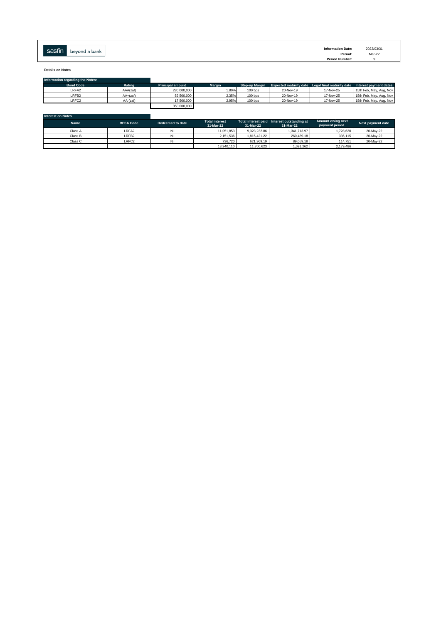| <b>Information Date:</b> |               | <b>CONTINUES</b> |
|--------------------------|---------------|------------------|
| Period:<br>.             | beyond a bank | <b>Sasfin</b>    |
| <b>Period Number:</b>    |               |                  |

**Details on Notes**

| Information regarding the Notes: |            |                         |               |                       |           |                                                                         |                         |
|----------------------------------|------------|-------------------------|---------------|-----------------------|-----------|-------------------------------------------------------------------------|-------------------------|
| <b>Bond Code</b>                 | Rating     | <b>Principal amount</b> | <b>Margin</b> | <b>Step-up Margin</b> |           | Expected maturity date Legal final maturity date Interest payment dates |                         |
| LRFA <sub>2</sub>                | AAA(zaf)   | 280,000,000             | 1.80%         | $100$ bps             | 20-Nov-19 | 17-Nov-25                                                               | 15th Feb, May, Aug, Nov |
| LRFB <sub>2</sub>                | $AA+(zaf)$ | 52,500,000              | 2.35%         | $100$ bps             | 20-Nov-19 | 17-Nov-25                                                               | 15th Feb, May, Aug, Nov |
| LRFC <sub>2</sub>                | $AA-(zaf)$ | 17,500,000              | 2.95%         | $100$ bps             | 20-Nov-19 | 17-Nov-25                                                               | 15th Feb, May, Aug, Nov |
|                                  |            | 350,000,000             |               |                       |           |                                                                         |                         |

| Interest on Notes |                   |                  |                                    |              |                                                          |                                            |                   |
|-------------------|-------------------|------------------|------------------------------------|--------------|----------------------------------------------------------|--------------------------------------------|-------------------|
| Name              | <b>BESA Code</b>  | Redeemed to date | <b>Total interest</b><br>31-Mar-22 | 31-Mar-22    | Total interest paid Interest outstanding at<br>31-Mar-22 | <b>Amount owing next</b><br>payment period | Next payment date |
| Class A           | LRFA <sub>2</sub> | Nil              | 11.051.853                         | 9.323.232.86 | 1.341.713.97                                             | 1.728.620                                  | 20-May-22         |
| Class B           | LRFB <sub>2</sub> | Nil              | 2.151.536                          | 1.815.421.22 | 260,489.18                                               | 336,115                                    | 20-May-22         |
| Class C           | LRFC <sub>2</sub> | Nil              | 736,720                            | 621.969.19   | 89.059.18                                                | 114,751                                    | 20-May-22         |
|                   |                   |                  | 13,940,110                         | 11,760,623   | 1,691,262                                                | 2,179,486                                  |                   |